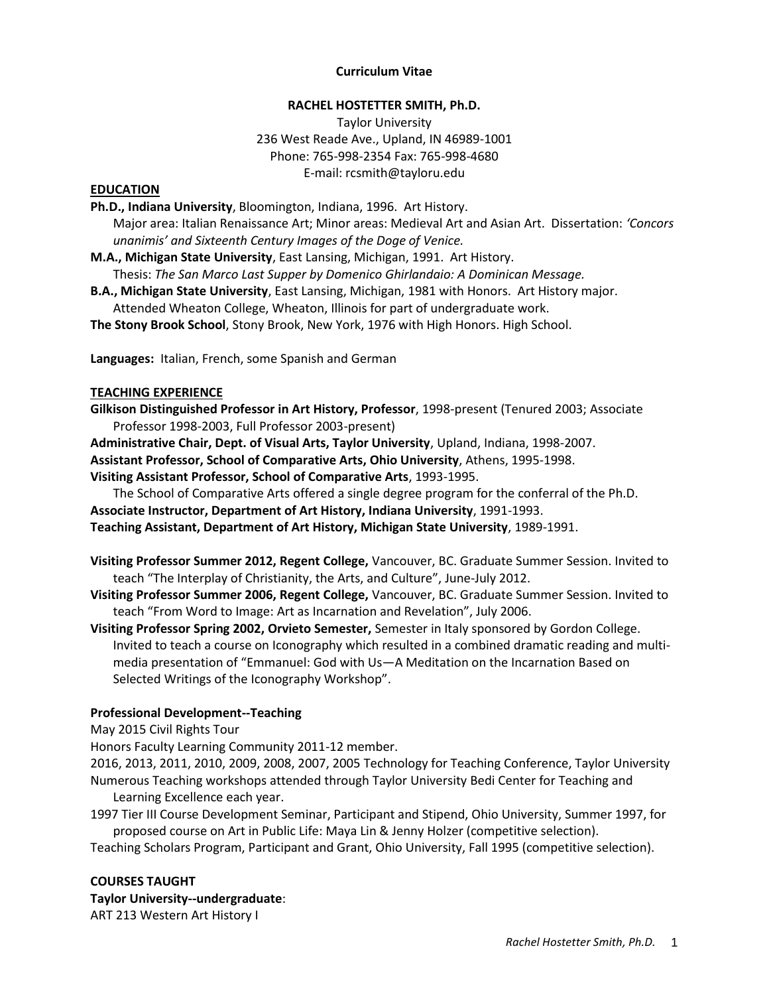### **Curriculum Vitae**

#### **RACHEL HOSTETTER SMITH, Ph.D.**

Taylor University 236 West Reade Ave., Upland, IN 46989-1001 Phone: 765-998-2354 Fax: 765-998-4680 E-mail: rcsmith@tayloru.edu

#### **EDUCATION**

**Ph.D., Indiana University**, Bloomington, Indiana, 1996. Art History.

Major area: Italian Renaissance Art; Minor areas: Medieval Art and Asian Art. Dissertation: *'Concors unanimis' and Sixteenth Century Images of the Doge of Venice.*

**M.A., Michigan State University**, East Lansing, Michigan, 1991. Art History. Thesis: *The San Marco Last Supper by Domenico Ghirlandaio: A Dominican Message.*

**B.A., Michigan State University**, East Lansing, Michigan, 1981 with Honors. Art History major. Attended Wheaton College, Wheaton, Illinois for part of undergraduate work.

**The Stony Brook School**, Stony Brook, New York, 1976 with High Honors. High School.

**Languages:** Italian, French, some Spanish and German

#### **TEACHING EXPERIENCE**

**Gilkison Distinguished Professor in Art History, Professor**, 1998-present (Tenured 2003; Associate Professor 1998-2003, Full Professor 2003-present)

**Administrative Chair, Dept. of Visual Arts, Taylor University**, Upland, Indiana, 1998-2007.

**Assistant Professor, School of Comparative Arts, Ohio University**, Athens, 1995-1998.

**Visiting Assistant Professor, School of Comparative Arts**, 1993-1995.

The School of Comparative Arts offered a single degree program for the conferral of the Ph.D. **Associate Instructor, Department of Art History, Indiana University**, 1991-1993.

**Teaching Assistant, Department of Art History, Michigan State University**, 1989-1991.

- **Visiting Professor Summer 2012, Regent College,** Vancouver, BC. Graduate Summer Session. Invited to teach "The Interplay of Christianity, the Arts, and Culture", June-July 2012.
- **Visiting Professor Summer 2006, Regent College,** Vancouver, BC. Graduate Summer Session. Invited to teach "From Word to Image: Art as Incarnation and Revelation", July 2006.

**Visiting Professor Spring 2002, Orvieto Semester,** Semester in Italy sponsored by Gordon College. Invited to teach a course on Iconography which resulted in a combined dramatic reading and multimedia presentation of "Emmanuel: God with Us—A Meditation on the Incarnation Based on Selected Writings of the Iconography Workshop".

### **Professional Development--Teaching**

May 2015 Civil Rights Tour

Honors Faculty Learning Community 2011-12 member.

2016, 2013, 2011, 2010, 2009, 2008, 2007, 2005 Technology for Teaching Conference, Taylor University Numerous Teaching workshops attended through Taylor University Bedi Center for Teaching and Learning Excellence each year.

1997 Tier III Course Development Seminar, Participant and Stipend, Ohio University, Summer 1997, for proposed course on Art in Public Life: Maya Lin & Jenny Holzer (competitive selection).

Teaching Scholars Program, Participant and Grant, Ohio University, Fall 1995 (competitive selection).

#### **COURSES TAUGHT**

**Taylor University--undergraduate**: ART 213 Western Art History I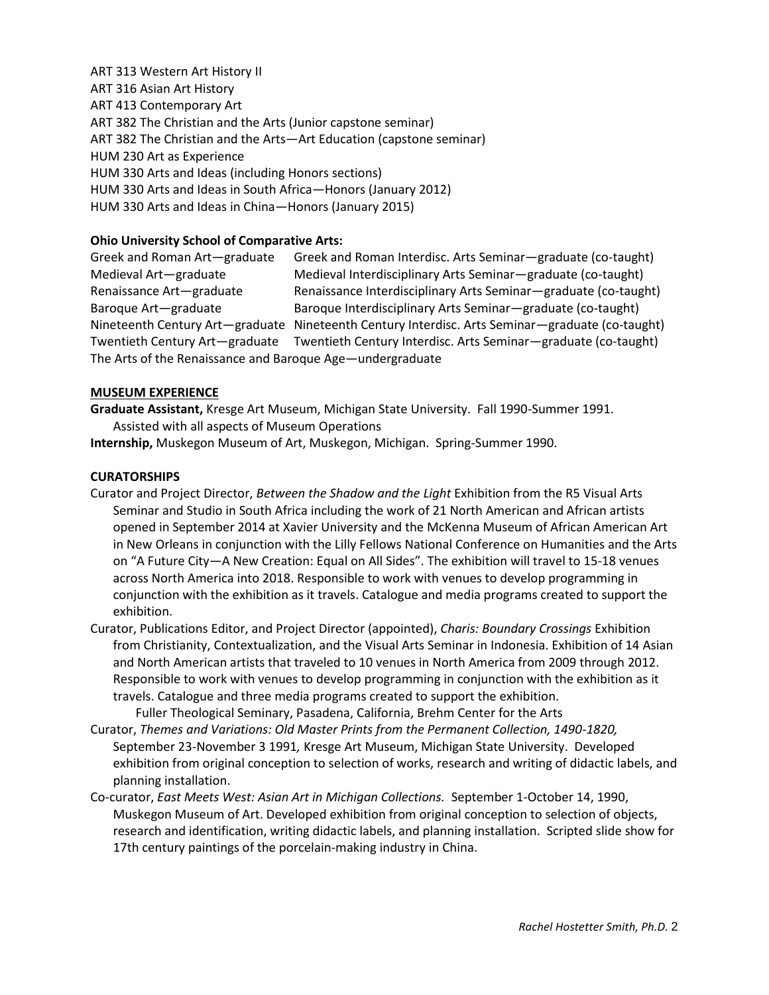ART 313 Western Art History II ART 316 Asian Art History ART 413 Contemporary Art ART 382 The Christian and the Arts (Junior capstone seminar) ART 382 The Christian and the Arts—Art Education (capstone seminar) HUM 230 Art as Experience HUM 330 Arts and Ideas (including Honors sections) HUM 330 Arts and Ideas in South Africa—Honors (January 2012) HUM 330 Arts and Ideas in China—Honors (January 2015)

## **Ohio University School of Comparative Arts:**

Greek and Roman Art—graduate Greek and Roman Interdisc. Arts Seminar—graduate (co-taught) Medieval Art—graduate Medieval Interdisciplinary Arts Seminar—graduate (co-taught) Renaissance Art—graduate Renaissance Interdisciplinary Arts Seminar—graduate (co-taught) Baroque Art—graduate Baroque Interdisciplinary Arts Seminar—graduate (co-taught) Nineteenth Century Art—graduate Nineteenth Century Interdisc. Arts Seminar—graduate (co-taught) Twentieth Century Art—graduate Twentieth Century Interdisc. Arts Seminar—graduate (co-taught) The Arts of the Renaissance and Baroque Age—undergraduate

## **MUSEUM EXPERIENCE**

**Graduate Assistant,** Kresge Art Museum, Michigan State University. Fall 1990-Summer 1991. Assisted with all aspects of Museum Operations

**Internship,** Muskegon Museum of Art, Muskegon, Michigan. Spring-Summer 1990.

## **CURATORSHIPS**

- Curator and Project Director, *Between the Shadow and the Light* Exhibition from the R5 Visual Arts Seminar and Studio in South Africa including the work of 21 North American and African artists opened in September 2014 at Xavier University and the McKenna Museum of African American Art in New Orleans in conjunction with the Lilly Fellows National Conference on Humanities and the Arts on "A Future City—A New Creation: Equal on All Sides". The exhibition will travel to 15-18 venues across North America into 2018. Responsible to work with venues to develop programming in conjunction with the exhibition as it travels. Catalogue and media programs created to support the exhibition.
- Curator, Publications Editor, and Project Director (appointed), *Charis: Boundary Crossings* Exhibition from Christianity, Contextualization, and the Visual Arts Seminar in Indonesia. Exhibition of 14 Asian and North American artists that traveled to 10 venues in North America from 2009 through 2012. Responsible to work with venues to develop programming in conjunction with the exhibition as it travels. Catalogue and three media programs created to support the exhibition.

Fuller Theological Seminary, Pasadena, California, Brehm Center for the Arts

- Curator, *Themes and Variations: Old Master Prints from the Permanent Collection, 1490-1820,*  September 23-November 3 1991*,* Kresge Art Museum, Michigan State University. Developed exhibition from original conception to selection of works, research and writing of didactic labels, and planning installation.
- Co-curator, *East Meets West: Asian Art in Michigan Collections.* September 1-October 14, 1990, Muskegon Museum of Art. Developed exhibition from original conception to selection of objects, research and identification, writing didactic labels, and planning installation. Scripted slide show for 17th century paintings of the porcelain-making industry in China.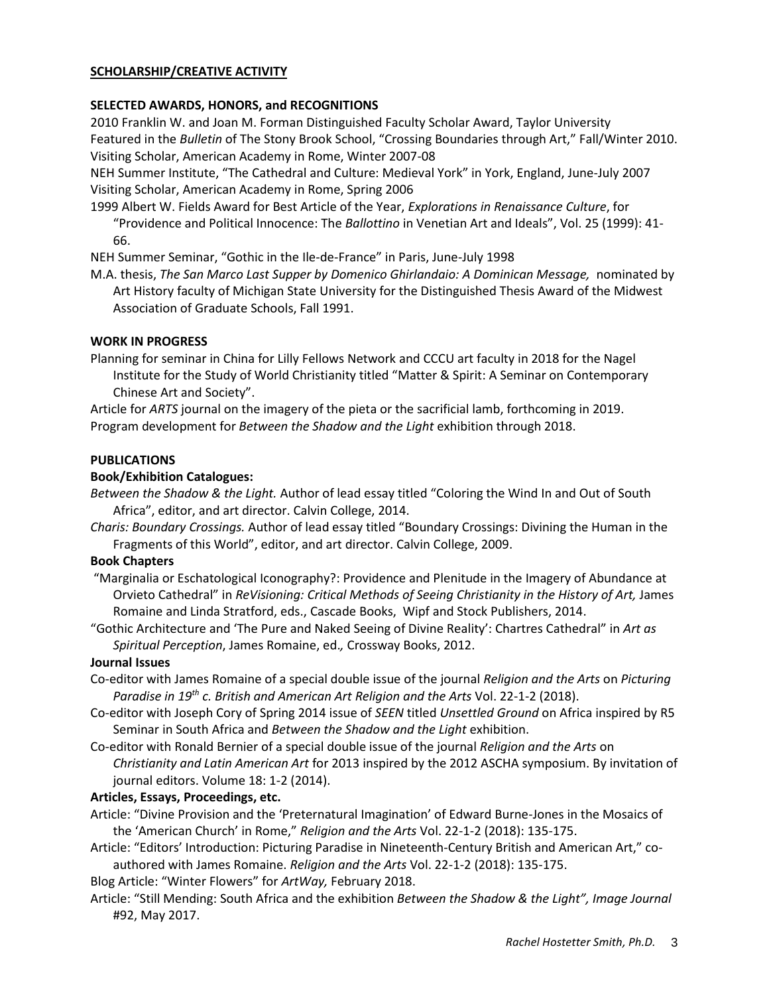## **SCHOLARSHIP/CREATIVE ACTIVITY**

## **SELECTED AWARDS, HONORS, and RECOGNITIONS**

2010 Franklin W. and Joan M. Forman Distinguished Faculty Scholar Award, Taylor University Featured in the *Bulletin* of The Stony Brook School, "Crossing Boundaries through Art," Fall/Winter 2010. Visiting Scholar, American Academy in Rome, Winter 2007-08

NEH Summer Institute, "The Cathedral and Culture: Medieval York" in York, England, June-July 2007 Visiting Scholar, American Academy in Rome, Spring 2006

1999 Albert W. Fields Award for Best Article of the Year, *Explorations in Renaissance Culture*, for "Providence and Political Innocence: The *Ballottino* in Venetian Art and Ideals", Vol. 25 (1999): 41- 66.

NEH Summer Seminar, "Gothic in the Ile-de-France" in Paris, June-July 1998

M.A. thesis, *The San Marco Last Supper by Domenico Ghirlandaio: A Dominican Message,* nominated by Art History faculty of Michigan State University for the Distinguished Thesis Award of the Midwest Association of Graduate Schools, Fall 1991.

### **WORK IN PROGRESS**

Planning for seminar in China for Lilly Fellows Network and CCCU art faculty in 2018 for the Nagel Institute for the Study of World Christianity titled "Matter & Spirit: A Seminar on Contemporary Chinese Art and Society".

Article for *ARTS* journal on the imagery of the pieta or the sacrificial lamb, forthcoming in 2019. Program development for *Between the Shadow and the Light* exhibition through 2018.

### **PUBLICATIONS**

### **Book/Exhibition Catalogues:**

*Between the Shadow & the Light.* Author of lead essay titled "Coloring the Wind In and Out of South Africa", editor, and art director. Calvin College, 2014.

*Charis: Boundary Crossings.* Author of lead essay titled "Boundary Crossings: Divining the Human in the Fragments of this World", editor, and art director. Calvin College, 2009.

#### **Book Chapters**

"Marginalia or Eschatological Iconography?: Providence and Plenitude in the Imagery of Abundance at Orvieto Cathedral" in *ReVisioning: Critical Methods of Seeing Christianity in the History of Art,* James Romaine and Linda Stratford, eds., Cascade Books, Wipf and Stock Publishers, 2014.

"Gothic Architecture and 'The Pure and Naked Seeing of Divine Reality': Chartres Cathedral" in *Art as Spiritual Perception*, James Romaine, ed.*,* Crossway Books, 2012.

### **Journal Issues**

- Co-editor with James Romaine of a special double issue of the journal *Religion and the Arts* on *Picturing Paradise in 19th c. British and American Art Religion and the Arts* Vol. 22-1-2 (2018).
- Co-editor with Joseph Cory of Spring 2014 issue of *SEEN* titled *Unsettled Ground* on Africa inspired by R5 Seminar in South Africa and *Between the Shadow and the Light* exhibition.
- Co-editor with Ronald Bernier of a special double issue of the journal *Religion and the Arts* on *Christianity and Latin American Art* for 2013 inspired by the 2012 ASCHA symposium. By invitation of journal editors. Volume 18: 1-2 (2014).

#### **Articles, Essays, Proceedings, etc.**

- Article: "Divine Provision and the 'Preternatural Imagination' of Edward Burne-Jones in the Mosaics of the 'American Church' in Rome," *Religion and the Arts* Vol. 22-1-2 (2018): 135-175.
- Article: "Editors' Introduction: Picturing Paradise in Nineteenth-Century British and American Art," coauthored with James Romaine. *Religion and the Arts* Vol. 22-1-2 (2018): 135-175.

Blog Article: "Winter Flowers" for *ArtWay,* February 2018.

Article: "Still Mending: South Africa and the exhibition *Between the Shadow & the Light", Image Journal*  #92, May 2017.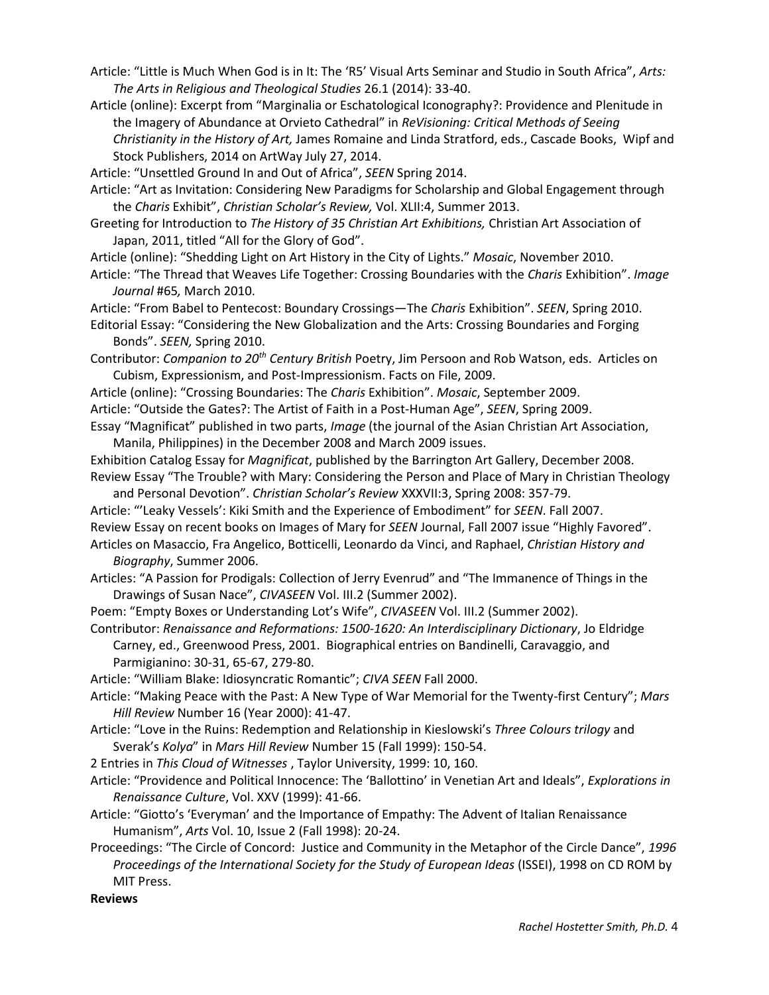- Article: "Little is Much When God is in It: The 'R5' Visual Arts Seminar and Studio in South Africa", *Arts: The Arts in Religious and Theological Studies* 26.1 (2014): 33-40.
- Article (online): Excerpt from "Marginalia or Eschatological Iconography?: Providence and Plenitude in the Imagery of Abundance at Orvieto Cathedral" in *ReVisioning: Critical Methods of Seeing Christianity in the History of Art,* James Romaine and Linda Stratford, eds., Cascade Books, Wipf and Stock Publishers, 2014 on ArtWay July 27, 2014.

Article: "Unsettled Ground In and Out of Africa", *SEEN* Spring 2014.

- Article: "Art as Invitation: Considering New Paradigms for Scholarship and Global Engagement through the *Charis* Exhibit", *Christian Scholar's Review,* Vol. XLII:4, Summer 2013.
- Greeting for Introduction to *The History of 35 Christian Art Exhibitions,* Christian Art Association of Japan, 2011, titled "All for the Glory of God".
- Article (online): "Shedding Light on Art History in the City of Lights." *Mosaic*, November 2010.
- Article: "The Thread that Weaves Life Together: Crossing Boundaries with the *Charis* Exhibition". *Image Journal* #65*,* March 2010.

Article: "From Babel to Pentecost: Boundary Crossings—The *Charis* Exhibition". *SEEN*, Spring 2010. Editorial Essay: "Considering the New Globalization and the Arts: Crossing Boundaries and Forging Bonds". *SEEN,* Spring 2010.

- Contributor: *Companion to 20th Century British* Poetry, Jim Persoon and Rob Watson, eds. Articles on Cubism, Expressionism, and Post-Impressionism. Facts on File, 2009.
- Article (online): "Crossing Boundaries: The *Charis* Exhibition". *Mosaic*, September 2009. Article: "Outside the Gates?: The Artist of Faith in a Post-Human Age", *SEEN*, Spring 2009.
- Essay "Magnificat" published in two parts, *Image* (the journal of the Asian Christian Art Association, Manila, Philippines) in the December 2008 and March 2009 issues.

Exhibition Catalog Essay for *Magnificat*, published by the Barrington Art Gallery, December 2008. Review Essay "The Trouble? with Mary: Considering the Person and Place of Mary in Christian Theology and Personal Devotion". *Christian Scholar's Review* XXXVII:3, Spring 2008: 357-79.

Article: "'Leaky Vessels': Kiki Smith and the Experience of Embodiment" for *SEEN*. Fall 2007. Review Essay on recent books on Images of Mary for *SEEN* Journal, Fall 2007 issue "Highly Favored". Articles on Masaccio, Fra Angelico, Botticelli, Leonardo da Vinci, and Raphael, *Christian History and* 

*Biography*, Summer 2006.

- Articles: "A Passion for Prodigals: Collection of Jerry Evenrud" and "The Immanence of Things in the Drawings of Susan Nace", *CIVASEEN* Vol. III.2 (Summer 2002).
- Poem: "Empty Boxes or Understanding Lot's Wife", *CIVASEEN* Vol. III.2 (Summer 2002).
- Contributor: *Renaissance and Reformations: 1500-1620: An Interdisciplinary Dictionary*, Jo Eldridge Carney, ed., Greenwood Press, 2001. Biographical entries on Bandinelli, Caravaggio, and Parmigianino: 30-31, 65-67, 279-80.

Article: "William Blake: Idiosyncratic Romantic"; *CIVA SEEN* Fall 2000.

- Article: "Making Peace with the Past: A New Type of War Memorial for the Twenty-first Century"; *Mars Hill Review* Number 16 (Year 2000): 41-47.
- Article: "Love in the Ruins: Redemption and Relationship in Kieslowski's *Three Colours trilogy* and Sverak's *Kolya*" in *Mars Hill Review* Number 15 (Fall 1999): 150-54.

2 Entries in *This Cloud of Witnesses* , Taylor University, 1999: 10, 160.

- Article: "Providence and Political Innocence: The 'Ballottino' in Venetian Art and Ideals", *Explorations in Renaissance Culture*, Vol. XXV (1999): 41-66.
- Article: "Giotto's 'Everyman' and the Importance of Empathy: The Advent of Italian Renaissance Humanism", *Arts* Vol. 10, Issue 2 (Fall 1998): 20-24.
- Proceedings: "The Circle of Concord: Justice and Community in the Metaphor of the Circle Dance", *1996 Proceedings of the International Society for the Study of European Ideas* (ISSEI), 1998 on CD ROM by MIT Press.

**Reviews**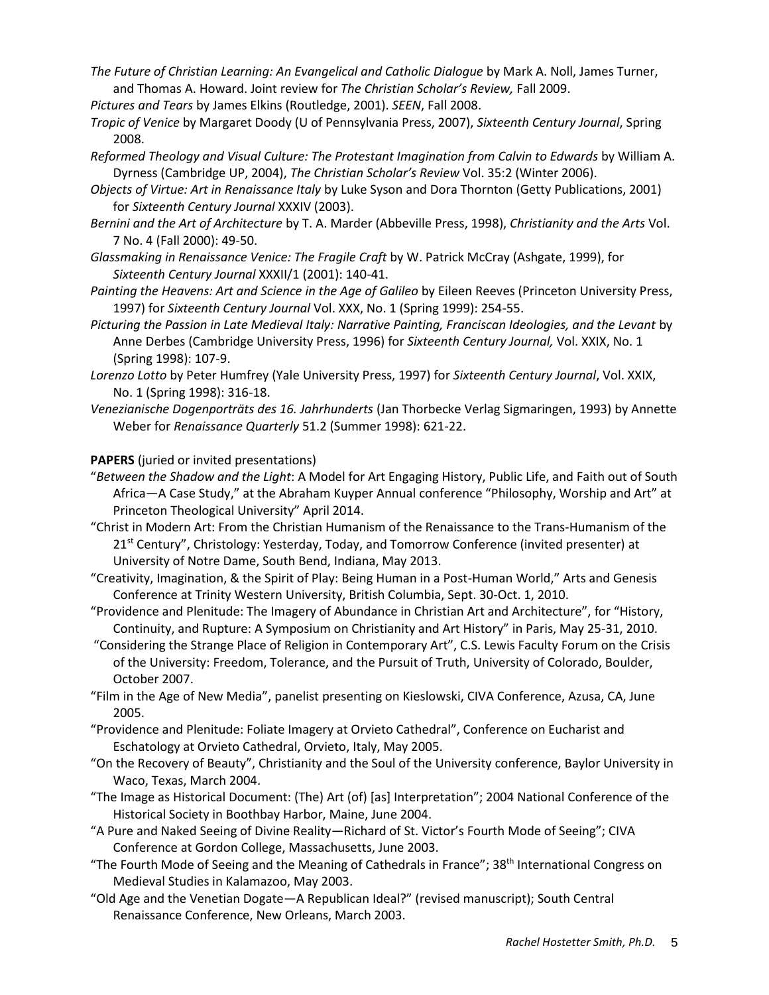- *The Future of Christian Learning: An Evangelical and Catholic Dialogue* by Mark A. Noll, James Turner, and Thomas A. Howard. Joint review for *The Christian Scholar's Review,* Fall 2009.
- *Pictures and Tears* by James Elkins (Routledge, 2001). *SEEN*, Fall 2008.
- *Tropic of Venice* by Margaret Doody (U of Pennsylvania Press, 2007), *Sixteenth Century Journal*, Spring 2008.
- *Reformed Theology and Visual Culture: The Protestant Imagination from Calvin to Edwards* by William A. Dyrness (Cambridge UP, 2004), *The Christian Scholar's Review* Vol. 35:2 (Winter 2006).
- *Objects of Virtue: Art in Renaissance Italy* by Luke Syson and Dora Thornton (Getty Publications, 2001) for *Sixteenth Century Journal* XXXIV (2003).
- *Bernini and the Art of Architecture* by T. A. Marder (Abbeville Press, 1998), *Christianity and the Arts* Vol. 7 No. 4 (Fall 2000): 49-50.
- *Glassmaking in Renaissance Venice: The Fragile Craft* by W. Patrick McCray (Ashgate, 1999), for *Sixteenth Century Journal* XXXII/1 (2001): 140-41.
- *Painting the Heavens: Art and Science in the Age of Galileo* by Eileen Reeves (Princeton University Press, 1997) for *Sixteenth Century Journal* Vol. XXX, No. 1 (Spring 1999): 254-55.
- *Picturing the Passion in Late Medieval Italy: Narrative Painting, Franciscan Ideologies, and the Levant* by Anne Derbes (Cambridge University Press, 1996) for *Sixteenth Century Journal,* Vol. XXIX, No. 1 (Spring 1998): 107-9.
- *Lorenzo Lotto* by Peter Humfrey (Yale University Press, 1997) for *Sixteenth Century Journal*, Vol. XXIX, No. 1 (Spring 1998): 316-18.
- *Venezianische Dogenporträts des 16. Jahrhunderts* (Jan Thorbecke Verlag Sigmaringen, 1993) by Annette Weber for *Renaissance Quarterly* 51.2 (Summer 1998): 621-22.

# **PAPERS** (juried or invited presentations)

- "*Between the Shadow and the Light*: A Model for Art Engaging History, Public Life, and Faith out of South Africa—A Case Study," at the Abraham Kuyper Annual conference "Philosophy, Worship and Art" at Princeton Theological University" April 2014.
- "Christ in Modern Art: From the Christian Humanism of the Renaissance to the Trans-Humanism of the  $21<sup>st</sup>$  Century", Christology: Yesterday, Today, and Tomorrow Conference (invited presenter) at University of Notre Dame, South Bend, Indiana, May 2013.
- "Creativity, Imagination, & the Spirit of Play: Being Human in a Post-Human World," Arts and Genesis Conference at Trinity Western University, British Columbia, Sept. 30-Oct. 1, 2010.
- "Providence and Plenitude: The Imagery of Abundance in Christian Art and Architecture", for "History, Continuity, and Rupture: A Symposium on Christianity and Art History" in Paris, May 25-31, 2010.
- "Considering the Strange Place of Religion in Contemporary Art", C.S. Lewis Faculty Forum on the Crisis of the University: Freedom, Tolerance, and the Pursuit of Truth, University of Colorado, Boulder, October 2007.
- "Film in the Age of New Media", panelist presenting on Kieslowski, CIVA Conference, Azusa, CA, June 2005.
- "Providence and Plenitude: Foliate Imagery at Orvieto Cathedral", Conference on Eucharist and Eschatology at Orvieto Cathedral, Orvieto, Italy, May 2005.
- "On the Recovery of Beauty", Christianity and the Soul of the University conference, Baylor University in Waco, Texas, March 2004.
- "The Image as Historical Document: (The) Art (of) [as] Interpretation"; 2004 National Conference of the Historical Society in Boothbay Harbor, Maine, June 2004.
- "A Pure and Naked Seeing of Divine Reality—Richard of St. Victor's Fourth Mode of Seeing"; CIVA Conference at Gordon College, Massachusetts, June 2003.
- "The Fourth Mode of Seeing and the Meaning of Cathedrals in France"; 38<sup>th</sup> International Congress on Medieval Studies in Kalamazoo, May 2003.
- "Old Age and the Venetian Dogate—A Republican Ideal?" (revised manuscript); South Central Renaissance Conference, New Orleans, March 2003.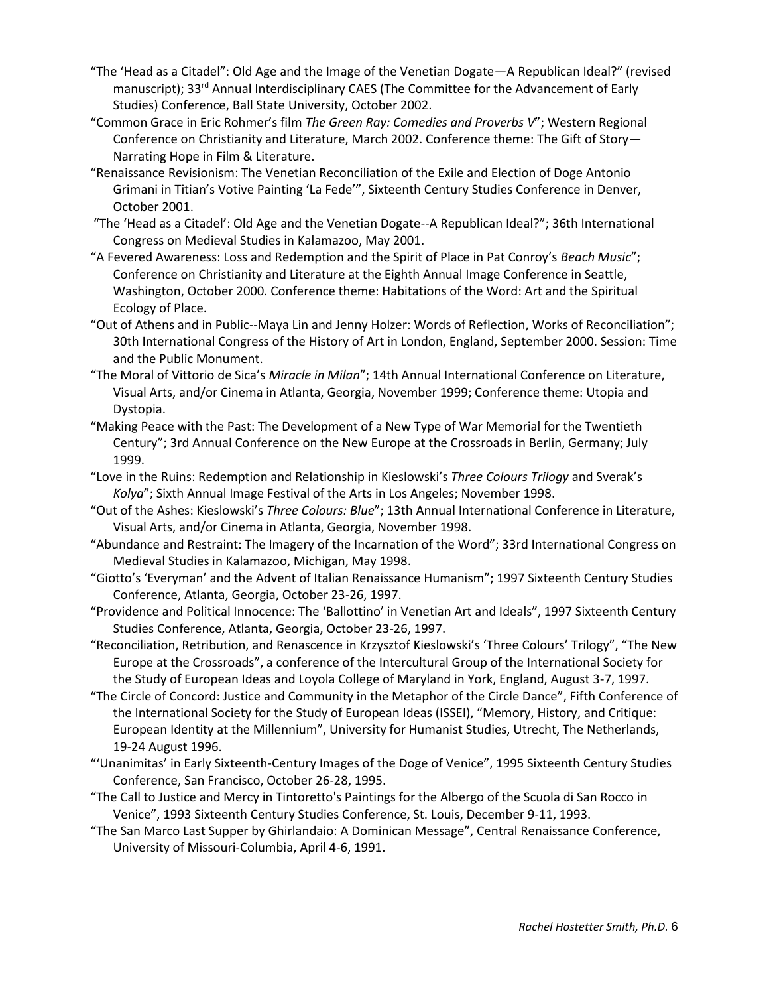- "The 'Head as a Citadel": Old Age and the Image of the Venetian Dogate—A Republican Ideal?" (revised manuscript); 33<sup>rd</sup> Annual Interdisciplinary CAES (The Committee for the Advancement of Early Studies) Conference, Ball State University, October 2002.
- "Common Grace in Eric Rohmer's film *The Green Ray: Comedies and Proverbs V*"; Western Regional Conference on Christianity and Literature, March 2002. Conference theme: The Gift of Story— Narrating Hope in Film & Literature.
- "Renaissance Revisionism: The Venetian Reconciliation of the Exile and Election of Doge Antonio Grimani in Titian's Votive Painting 'La Fede'", Sixteenth Century Studies Conference in Denver, October 2001.
- "The 'Head as a Citadel': Old Age and the Venetian Dogate--A Republican Ideal?"; 36th International Congress on Medieval Studies in Kalamazoo, May 2001.
- "A Fevered Awareness: Loss and Redemption and the Spirit of Place in Pat Conroy's *Beach Music*"; Conference on Christianity and Literature at the Eighth Annual Image Conference in Seattle, Washington, October 2000. Conference theme: Habitations of the Word: Art and the Spiritual Ecology of Place.
- "Out of Athens and in Public--Maya Lin and Jenny Holzer: Words of Reflection, Works of Reconciliation"; 30th International Congress of the History of Art in London, England, September 2000. Session: Time and the Public Monument.
- "The Moral of Vittorio de Sica's *Miracle in Milan*"; 14th Annual International Conference on Literature, Visual Arts, and/or Cinema in Atlanta, Georgia, November 1999; Conference theme: Utopia and Dystopia.
- "Making Peace with the Past: The Development of a New Type of War Memorial for the Twentieth Century"; 3rd Annual Conference on the New Europe at the Crossroads in Berlin, Germany; July 1999.
- "Love in the Ruins: Redemption and Relationship in Kieslowski's *Three Colours Trilogy* and Sverak's *Kolya*"; Sixth Annual Image Festival of the Arts in Los Angeles; November 1998.
- "Out of the Ashes: Kieslowski's *Three Colours: Blue*"; 13th Annual International Conference in Literature, Visual Arts, and/or Cinema in Atlanta, Georgia, November 1998.
- "Abundance and Restraint: The Imagery of the Incarnation of the Word"; 33rd International Congress on Medieval Studies in Kalamazoo, Michigan, May 1998.
- "Giotto's 'Everyman' and the Advent of Italian Renaissance Humanism"; 1997 Sixteenth Century Studies Conference, Atlanta, Georgia, October 23-26, 1997.
- "Providence and Political Innocence: The 'Ballottino' in Venetian Art and Ideals", 1997 Sixteenth Century Studies Conference, Atlanta, Georgia, October 23-26, 1997.
- "Reconciliation, Retribution, and Renascence in Krzysztof Kieslowski's 'Three Colours' Trilogy", "The New Europe at the Crossroads", a conference of the Intercultural Group of the International Society for the Study of European Ideas and Loyola College of Maryland in York, England, August 3-7, 1997.
- "The Circle of Concord: Justice and Community in the Metaphor of the Circle Dance", Fifth Conference of the International Society for the Study of European Ideas (ISSEI), "Memory, History, and Critique: European Identity at the Millennium", University for Humanist Studies, Utrecht, The Netherlands, 19-24 August 1996.
- "'Unanimitas' in Early Sixteenth-Century Images of the Doge of Venice", 1995 Sixteenth Century Studies Conference, San Francisco, October 26-28, 1995.
- "The Call to Justice and Mercy in Tintoretto's Paintings for the Albergo of the Scuola di San Rocco in Venice", 1993 Sixteenth Century Studies Conference, St. Louis, December 9-11, 1993.
- "The San Marco Last Supper by Ghirlandaio: A Dominican Message", Central Renaissance Conference, University of Missouri-Columbia, April 4-6, 1991.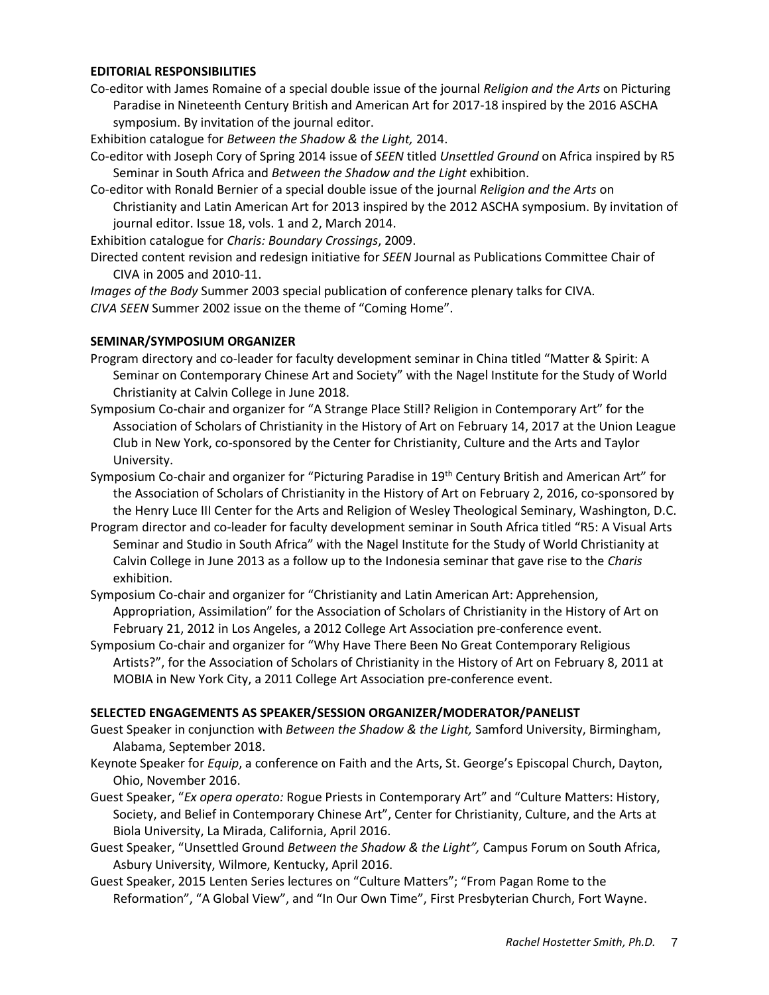#### **EDITORIAL RESPONSIBILITIES**

Co-editor with James Romaine of a special double issue of the journal *Religion and the Arts* on Picturing Paradise in Nineteenth Century British and American Art for 2017-18 inspired by the 2016 ASCHA symposium. By invitation of the journal editor.

Exhibition catalogue for *Between the Shadow & the Light,* 2014.

Co-editor with Joseph Cory of Spring 2014 issue of *SEEN* titled *Unsettled Ground* on Africa inspired by R5 Seminar in South Africa and *Between the Shadow and the Light* exhibition.

Co-editor with Ronald Bernier of a special double issue of the journal *Religion and the Arts* on Christianity and Latin American Art for 2013 inspired by the 2012 ASCHA symposium. By invitation of journal editor. Issue 18, vols. 1 and 2, March 2014.

Exhibition catalogue for *Charis: Boundary Crossings*, 2009.

Directed content revision and redesign initiative for *SEEN* Journal as Publications Committee Chair of CIVA in 2005 and 2010-11.

*Images of the Body* Summer 2003 special publication of conference plenary talks for CIVA. *CIVA SEEN* Summer 2002 issue on the theme of "Coming Home".

### **SEMINAR/SYMPOSIUM ORGANIZER**

- Program directory and co-leader for faculty development seminar in China titled "Matter & Spirit: A Seminar on Contemporary Chinese Art and Society" with the Nagel Institute for the Study of World Christianity at Calvin College in June 2018.
- Symposium Co-chair and organizer for "A Strange Place Still? Religion in Contemporary Art" for the Association of Scholars of Christianity in the History of Art on February 14, 2017 at the Union League Club in New York, co-sponsored by the Center for Christianity, Culture and the Arts and Taylor University.
- Symposium Co-chair and organizer for "Picturing Paradise in 19<sup>th</sup> Century British and American Art" for the Association of Scholars of Christianity in the History of Art on February 2, 2016, co-sponsored by the Henry Luce III Center for the Arts and Religion of Wesley Theological Seminary, Washington, D.C.
- Program director and co-leader for faculty development seminar in South Africa titled "R5: A Visual Arts Seminar and Studio in South Africa" with the Nagel Institute for the Study of World Christianity at Calvin College in June 2013 as a follow up to the Indonesia seminar that gave rise to the *Charis*  exhibition.
- Symposium Co-chair and organizer for "Christianity and Latin American Art: Apprehension, Appropriation, Assimilation" for the Association of Scholars of Christianity in the History of Art on February 21, 2012 in Los Angeles, a 2012 College Art Association pre-conference event.
- Symposium Co-chair and organizer for "Why Have There Been No Great Contemporary Religious Artists?", for the Association of Scholars of Christianity in the History of Art on February 8, 2011 at MOBIA in New York City, a 2011 College Art Association pre-conference event.

## **SELECTED ENGAGEMENTS AS SPEAKER/SESSION ORGANIZER/MODERATOR/PANELIST**

- Guest Speaker in conjunction with *Between the Shadow & the Light,* Samford University, Birmingham, Alabama, September 2018.
- Keynote Speaker for *Equip*, a conference on Faith and the Arts, St. George's Episcopal Church, Dayton, Ohio, November 2016.
- Guest Speaker, "*Ex opera operato:* Rogue Priests in Contemporary Art" and "Culture Matters: History, Society, and Belief in Contemporary Chinese Art", Center for Christianity, Culture, and the Arts at Biola University, La Mirada, California, April 2016.
- Guest Speaker, "Unsettled Ground *Between the Shadow & the Light",* Campus Forum on South Africa, Asbury University, Wilmore, Kentucky, April 2016.
- Guest Speaker, 2015 Lenten Series lectures on "Culture Matters"; "From Pagan Rome to the Reformation", "A Global View", and "In Our Own Time", First Presbyterian Church, Fort Wayne.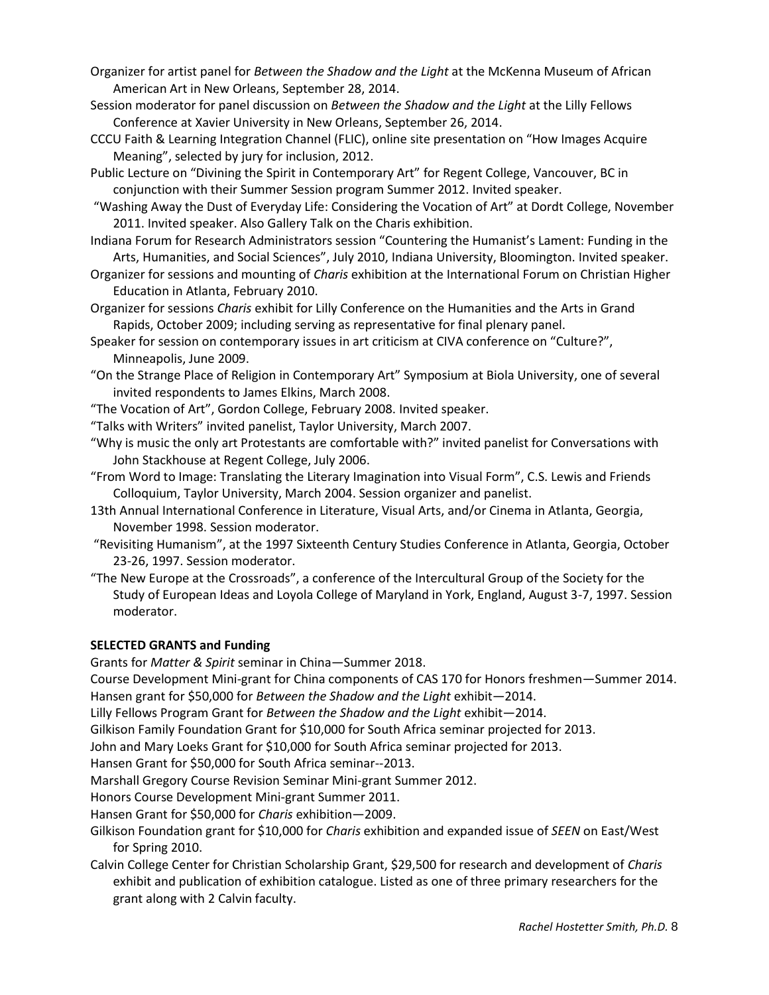- Organizer for artist panel for *Between the Shadow and the Light* at the McKenna Museum of African American Art in New Orleans, September 28, 2014.
- Session moderator for panel discussion on *Between the Shadow and the Light* at the Lilly Fellows Conference at Xavier University in New Orleans, September 26, 2014.
- CCCU Faith & Learning Integration Channel (FLIC), online site presentation on "How Images Acquire Meaning", selected by jury for inclusion, 2012.
- Public Lecture on "Divining the Spirit in Contemporary Art" for Regent College, Vancouver, BC in conjunction with their Summer Session program Summer 2012. Invited speaker.
- "Washing Away the Dust of Everyday Life: Considering the Vocation of Art" at Dordt College, November 2011. Invited speaker. Also Gallery Talk on the Charis exhibition.
- Indiana Forum for Research Administrators session "Countering the Humanist's Lament: Funding in the Arts, Humanities, and Social Sciences", July 2010, Indiana University, Bloomington. Invited speaker.
- Organizer for sessions and mounting of *Charis* exhibition at the International Forum on Christian Higher Education in Atlanta, February 2010.
- Organizer for sessions *Charis* exhibit for Lilly Conference on the Humanities and the Arts in Grand Rapids, October 2009; including serving as representative for final plenary panel.
- Speaker for session on contemporary issues in art criticism at CIVA conference on "Culture?", Minneapolis, June 2009.
- "On the Strange Place of Religion in Contemporary Art" Symposium at Biola University, one of several invited respondents to James Elkins, March 2008.
- "The Vocation of Art", Gordon College, February 2008. Invited speaker.
- "Talks with Writers" invited panelist, Taylor University, March 2007.
- "Why is music the only art Protestants are comfortable with?" invited panelist for Conversations with John Stackhouse at Regent College, July 2006.
- "From Word to Image: Translating the Literary Imagination into Visual Form", C.S. Lewis and Friends Colloquium, Taylor University, March 2004. Session organizer and panelist.
- 13th Annual International Conference in Literature, Visual Arts, and/or Cinema in Atlanta, Georgia, November 1998. Session moderator.
- "Revisiting Humanism", at the 1997 Sixteenth Century Studies Conference in Atlanta, Georgia, October 23-26, 1997. Session moderator.
- "The New Europe at the Crossroads", a conference of the Intercultural Group of the Society for the Study of European Ideas and Loyola College of Maryland in York, England, August 3-7, 1997. Session moderator.

# **SELECTED GRANTS and Funding**

Grants for *Matter & Spirit* seminar in China—Summer 2018.

Course Development Mini-grant for China components of CAS 170 for Honors freshmen—Summer 2014. Hansen grant for \$50,000 for *Between the Shadow and the Light* exhibit—2014.

Lilly Fellows Program Grant for *Between the Shadow and the Light* exhibit—2014.

Gilkison Family Foundation Grant for \$10,000 for South Africa seminar projected for 2013.

John and Mary Loeks Grant for \$10,000 for South Africa seminar projected for 2013.

Hansen Grant for \$50,000 for South Africa seminar--2013.

Marshall Gregory Course Revision Seminar Mini-grant Summer 2012.

Honors Course Development Mini-grant Summer 2011.

Hansen Grant for \$50,000 for *Charis* exhibition—2009.

- Gilkison Foundation grant for \$10,000 for *Charis* exhibition and expanded issue of *SEEN* on East/West for Spring 2010.
- Calvin College Center for Christian Scholarship Grant, \$29,500 for research and development of *Charis*  exhibit and publication of exhibition catalogue. Listed as one of three primary researchers for the grant along with 2 Calvin faculty.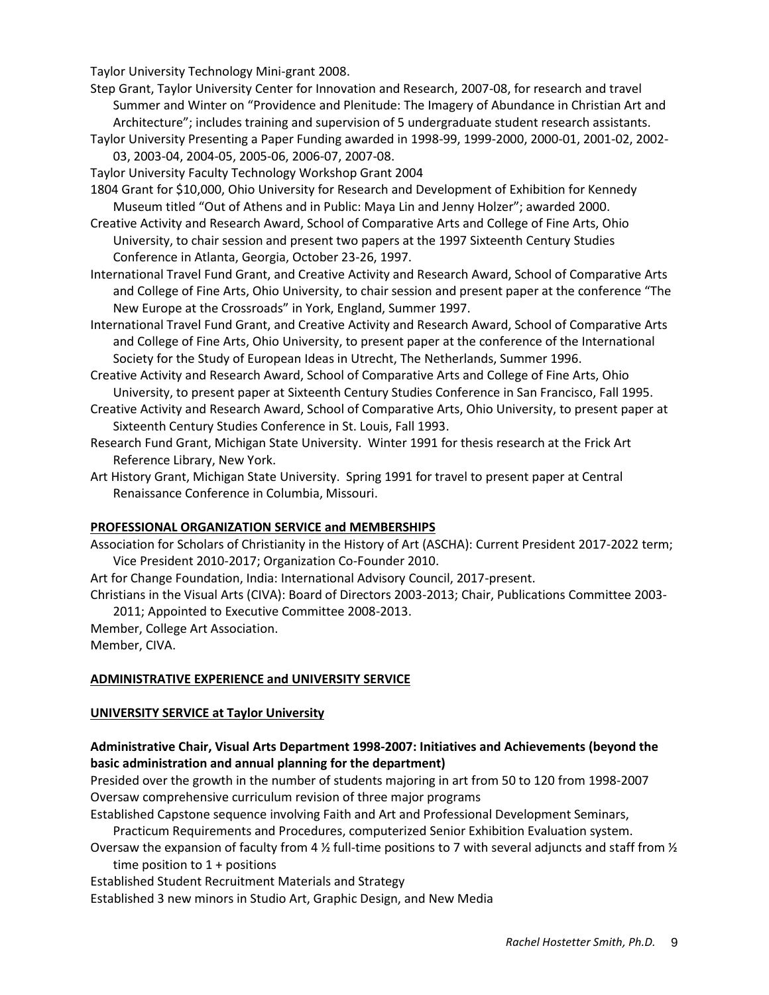Taylor University Technology Mini-grant 2008.

- Step Grant, Taylor University Center for Innovation and Research, 2007-08, for research and travel Summer and Winter on "Providence and Plenitude: The Imagery of Abundance in Christian Art and Architecture"; includes training and supervision of 5 undergraduate student research assistants.
- Taylor University Presenting a Paper Funding awarded in 1998-99, 1999-2000, 2000-01, 2001-02, 2002- 03, 2003-04, 2004-05, 2005-06, 2006-07, 2007-08.
- Taylor University Faculty Technology Workshop Grant 2004
- 1804 Grant for \$10,000, Ohio University for Research and Development of Exhibition for Kennedy Museum titled "Out of Athens and in Public: Maya Lin and Jenny Holzer"; awarded 2000.
- Creative Activity and Research Award, School of Comparative Arts and College of Fine Arts, Ohio University, to chair session and present two papers at the 1997 Sixteenth Century Studies Conference in Atlanta, Georgia, October 23-26, 1997.
- International Travel Fund Grant, and Creative Activity and Research Award, School of Comparative Arts and College of Fine Arts, Ohio University, to chair session and present paper at the conference "The New Europe at the Crossroads" in York, England, Summer 1997.
- International Travel Fund Grant, and Creative Activity and Research Award, School of Comparative Arts and College of Fine Arts, Ohio University, to present paper at the conference of the International Society for the Study of European Ideas in Utrecht, The Netherlands, Summer 1996.
- Creative Activity and Research Award, School of Comparative Arts and College of Fine Arts, Ohio University, to present paper at Sixteenth Century Studies Conference in San Francisco, Fall 1995.
- Creative Activity and Research Award, School of Comparative Arts, Ohio University, to present paper at Sixteenth Century Studies Conference in St. Louis, Fall 1993.
- Research Fund Grant, Michigan State University. Winter 1991 for thesis research at the Frick Art Reference Library, New York.
- Art History Grant, Michigan State University. Spring 1991 for travel to present paper at Central Renaissance Conference in Columbia, Missouri.

#### **PROFESSIONAL ORGANIZATION SERVICE and MEMBERSHIPS**

Association for Scholars of Christianity in the History of Art (ASCHA): Current President 2017-2022 term; Vice President 2010-2017; Organization Co-Founder 2010.

- Art for Change Foundation, India: International Advisory Council, 2017-present.
- Christians in the Visual Arts (CIVA): Board of Directors 2003-2013; Chair, Publications Committee 2003- 2011; Appointed to Executive Committee 2008-2013.
- Member, College Art Association.

Member, CIVA.

#### **ADMINISTRATIVE EXPERIENCE and UNIVERSITY SERVICE**

#### **UNIVERSITY SERVICE at Taylor University**

## **Administrative Chair, Visual Arts Department 1998-2007: Initiatives and Achievements (beyond the basic administration and annual planning for the department)**

Presided over the growth in the number of students majoring in art from 50 to 120 from 1998-2007 Oversaw comprehensive curriculum revision of three major programs

Established Capstone sequence involving Faith and Art and Professional Development Seminars, Practicum Requirements and Procedures, computerized Senior Exhibition Evaluation system.

Oversaw the expansion of faculty from 4  $\frac{1}{2}$  full-time positions to 7 with several adjuncts and staff from  $\frac{1}{2}$ time position to  $1 +$  positions

Established Student Recruitment Materials and Strategy

Established 3 new minors in Studio Art, Graphic Design, and New Media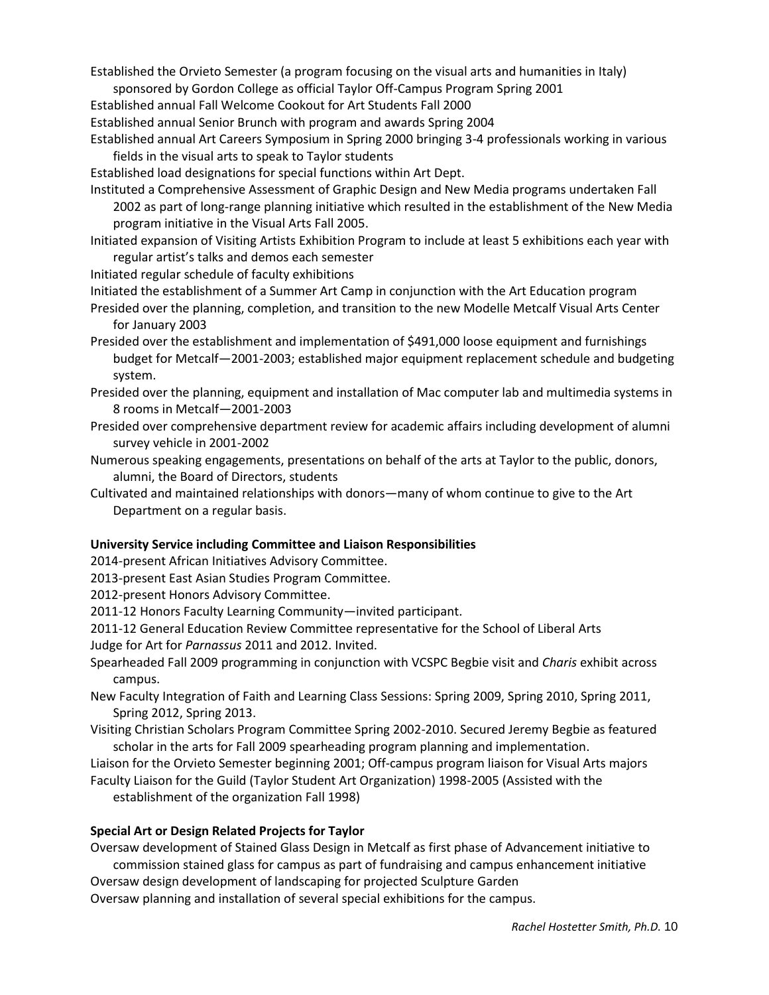Established the Orvieto Semester (a program focusing on the visual arts and humanities in Italy)

sponsored by Gordon College as official Taylor Off-Campus Program Spring 2001

Established annual Fall Welcome Cookout for Art Students Fall 2000

Established annual Senior Brunch with program and awards Spring 2004

Established annual Art Careers Symposium in Spring 2000 bringing 3-4 professionals working in various fields in the visual arts to speak to Taylor students

Established load designations for special functions within Art Dept.

Instituted a Comprehensive Assessment of Graphic Design and New Media programs undertaken Fall 2002 as part of long-range planning initiative which resulted in the establishment of the New Media program initiative in the Visual Arts Fall 2005.

- Initiated expansion of Visiting Artists Exhibition Program to include at least 5 exhibitions each year with regular artist's talks and demos each semester
- Initiated regular schedule of faculty exhibitions

Initiated the establishment of a Summer Art Camp in conjunction with the Art Education program

- Presided over the planning, completion, and transition to the new Modelle Metcalf Visual Arts Center for January 2003
- Presided over the establishment and implementation of \$491,000 loose equipment and furnishings budget for Metcalf—2001-2003; established major equipment replacement schedule and budgeting system.
- Presided over the planning, equipment and installation of Mac computer lab and multimedia systems in 8 rooms in Metcalf—2001-2003
- Presided over comprehensive department review for academic affairs including development of alumni survey vehicle in 2001-2002
- Numerous speaking engagements, presentations on behalf of the arts at Taylor to the public, donors, alumni, the Board of Directors, students
- Cultivated and maintained relationships with donors—many of whom continue to give to the Art Department on a regular basis.

# **University Service including Committee and Liaison Responsibilities**

2014-present African Initiatives Advisory Committee.

2013-present East Asian Studies Program Committee.

2012-present Honors Advisory Committee.

2011-12 Honors Faculty Learning Community—invited participant.

2011-12 General Education Review Committee representative for the School of Liberal Arts

Judge for Art for *Parnassus* 2011 and 2012. Invited.

Spearheaded Fall 2009 programming in conjunction with VCSPC Begbie visit and *Charis* exhibit across campus.

- New Faculty Integration of Faith and Learning Class Sessions: Spring 2009, Spring 2010, Spring 2011, Spring 2012, Spring 2013.
- Visiting Christian Scholars Program Committee Spring 2002-2010. Secured Jeremy Begbie as featured scholar in the arts for Fall 2009 spearheading program planning and implementation.

Liaison for the Orvieto Semester beginning 2001; Off-campus program liaison for Visual Arts majors Faculty Liaison for the Guild (Taylor Student Art Organization) 1998-2005 (Assisted with the

establishment of the organization Fall 1998)

## **Special Art or Design Related Projects for Taylor**

Oversaw development of Stained Glass Design in Metcalf as first phase of Advancement initiative to commission stained glass for campus as part of fundraising and campus enhancement initiative Oversaw design development of landscaping for projected Sculpture Garden

Oversaw planning and installation of several special exhibitions for the campus.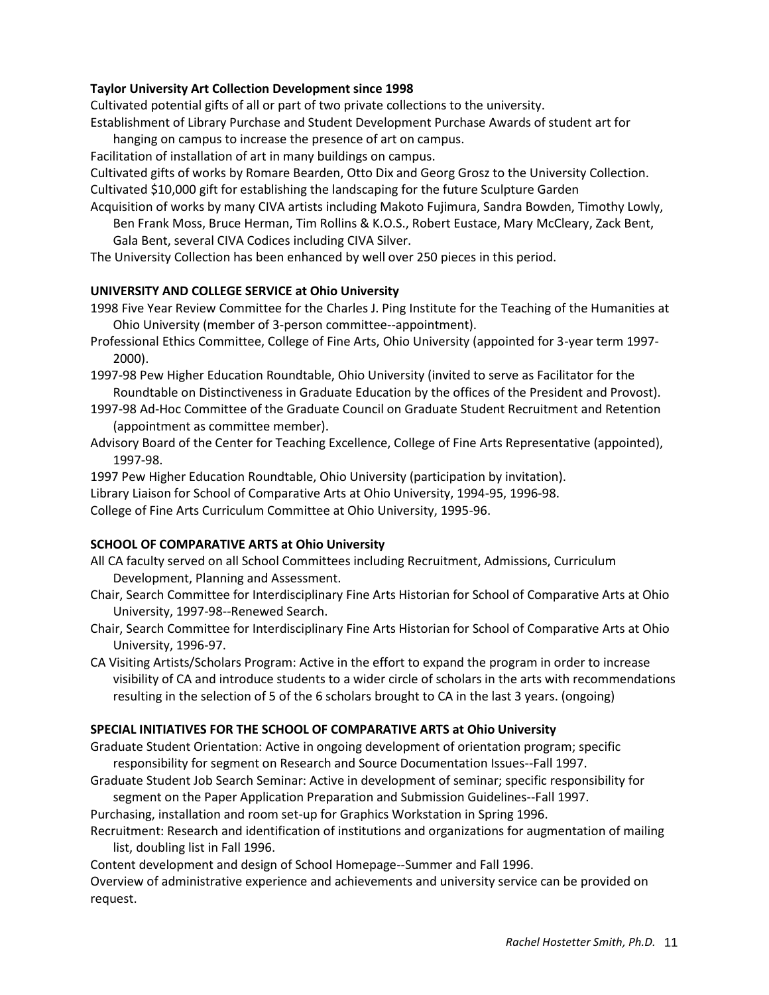## **Taylor University Art Collection Development since 1998**

Cultivated potential gifts of all or part of two private collections to the university.

Establishment of Library Purchase and Student Development Purchase Awards of student art for hanging on campus to increase the presence of art on campus.

Facilitation of installation of art in many buildings on campus.

Cultivated gifts of works by Romare Bearden, Otto Dix and Georg Grosz to the University Collection. Cultivated \$10,000 gift for establishing the landscaping for the future Sculpture Garden

Acquisition of works by many CIVA artists including Makoto Fujimura, Sandra Bowden, Timothy Lowly, Ben Frank Moss, Bruce Herman, Tim Rollins & K.O.S., Robert Eustace, Mary McCleary, Zack Bent, Gala Bent, several CIVA Codices including CIVA Silver.

The University Collection has been enhanced by well over 250 pieces in this period.

## **UNIVERSITY AND COLLEGE SERVICE at Ohio University**

1998 Five Year Review Committee for the Charles J. Ping Institute for the Teaching of the Humanities at Ohio University (member of 3-person committee--appointment).

Professional Ethics Committee, College of Fine Arts, Ohio University (appointed for 3-year term 1997- 2000).

1997-98 Pew Higher Education Roundtable, Ohio University (invited to serve as Facilitator for the Roundtable on Distinctiveness in Graduate Education by the offices of the President and Provost).

- 1997-98 Ad-Hoc Committee of the Graduate Council on Graduate Student Recruitment and Retention (appointment as committee member).
- Advisory Board of the Center for Teaching Excellence, College of Fine Arts Representative (appointed), 1997-98.

1997 Pew Higher Education Roundtable, Ohio University (participation by invitation).

Library Liaison for School of Comparative Arts at Ohio University, 1994-95, 1996-98.

College of Fine Arts Curriculum Committee at Ohio University, 1995-96.

## **SCHOOL OF COMPARATIVE ARTS at Ohio University**

- All CA faculty served on all School Committees including Recruitment, Admissions, Curriculum Development, Planning and Assessment.
- Chair, Search Committee for Interdisciplinary Fine Arts Historian for School of Comparative Arts at Ohio University, 1997-98--Renewed Search.
- Chair, Search Committee for Interdisciplinary Fine Arts Historian for School of Comparative Arts at Ohio University, 1996-97.

CA Visiting Artists/Scholars Program: Active in the effort to expand the program in order to increase visibility of CA and introduce students to a wider circle of scholars in the arts with recommendations resulting in the selection of 5 of the 6 scholars brought to CA in the last 3 years. (ongoing)

## **SPECIAL INITIATIVES FOR THE SCHOOL OF COMPARATIVE ARTS at Ohio University**

Graduate Student Orientation: Active in ongoing development of orientation program; specific responsibility for segment on Research and Source Documentation Issues--Fall 1997.

Graduate Student Job Search Seminar: Active in development of seminar; specific responsibility for segment on the Paper Application Preparation and Submission Guidelines--Fall 1997.

Purchasing, installation and room set-up for Graphics Workstation in Spring 1996.

Recruitment: Research and identification of institutions and organizations for augmentation of mailing list, doubling list in Fall 1996.

Content development and design of School Homepage--Summer and Fall 1996.

Overview of administrative experience and achievements and university service can be provided on request.